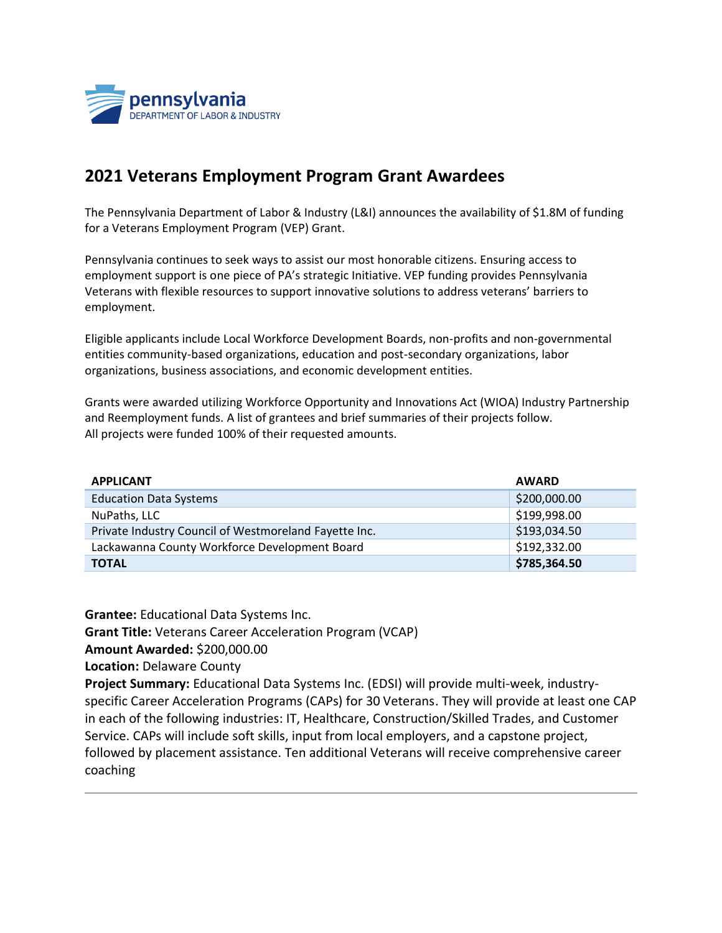

## **2021 Veterans Employment Program Grant Awardees**

The Pennsylvania Department of Labor & Industry (L&I) announces the availability of \$1.8M of funding for a Veterans Employment Program (VEP) Grant.

Pennsylvania continues to seek ways to assist our most honorable citizens. Ensuring access to employment support is one piece of PA's strategic Initiative. VEP funding provides Pennsylvania Veterans with flexible resources to support innovative solutions to address veterans' barriers to employment.

Eligible applicants include Local Workforce Development Boards, non-profits and non-governmental entities community-based organizations, education and post-secondary organizations, labor organizations, business associations, and economic development entities.

Grants were awarded utilizing Workforce Opportunity and Innovations Act (WIOA) Industry Partnership and Reemployment funds. A list of grantees and brief summaries of their projects follow. All projects were funded 100% of their requested amounts.

| <b>APPLICANT</b>                                      | <b>AWARD</b> |
|-------------------------------------------------------|--------------|
| <b>Education Data Systems</b>                         | \$200,000.00 |
| NuPaths, LLC                                          | \$199,998.00 |
| Private Industry Council of Westmoreland Fayette Inc. | \$193,034.50 |
| Lackawanna County Workforce Development Board         | \$192,332.00 |
| <b>TOTAL</b>                                          | \$785,364.50 |

**Grantee:** Educational Data Systems Inc.

**Grant Title:** Veterans Career Acceleration Program (VCAP)

**Amount Awarded:** \$200,000.00

**Location:** Delaware County

**Project Summary:** Educational Data Systems Inc. (EDSI) will provide multi-week, industryspecific Career Acceleration Programs (CAPs) for 30 Veterans. They will provide at least one CAP in each of the following industries: IT, Healthcare, Construction/Skilled Trades, and Customer Service. CAPs will include soft skills, input from local employers, and a capstone project, followed by placement assistance. Ten additional Veterans will receive comprehensive career coaching